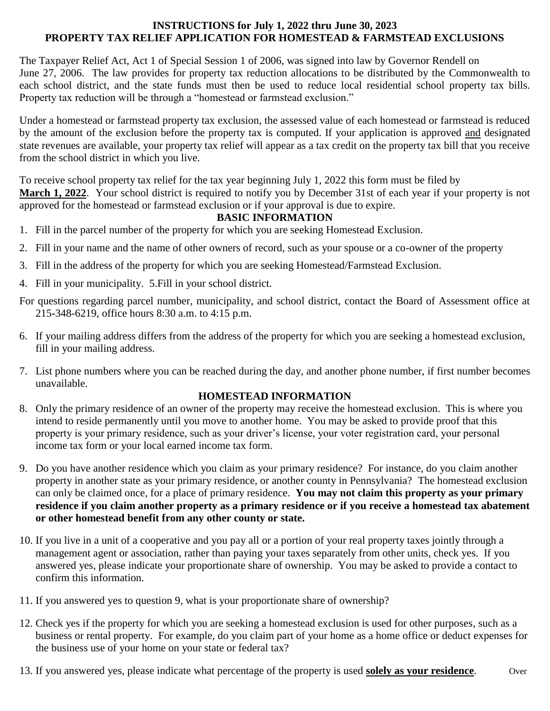#### **INSTRUCTIONS for July 1, 2022 thru June 30, 2023 PROPERTY TAX RELIEF APPLICATION FOR HOMESTEAD & FARMSTEAD EXCLUSIONS**

The Taxpayer Relief Act, Act 1 of Special Session 1 of 2006, was signed into law by Governor Rendell on June 27, 2006. The law provides for property tax reduction allocations to be distributed by the Commonwealth to each school district, and the state funds must then be used to reduce local residential school property tax bills. Property tax reduction will be through a "homestead or farmstead exclusion."

Under a homestead or farmstead property tax exclusion, the assessed value of each homestead or farmstead is reduced by the amount of the exclusion before the property tax is computed. If your application is approved and designated state revenues are available, your property tax relief will appear as a tax credit on the property tax bill that you receive from the school district in which you live.

To receive school property tax relief for the tax year beginning July 1, 2022 this form must be filed by **March 1, 2022**. Your school district is required to notify you by December 31st of each year if your property is not approved for the homestead or farmstead exclusion or if your approval is due to expire.

#### **BASIC INFORMATION**

- 1. Fill in the parcel number of the property for which you are seeking Homestead Exclusion.
- 2. Fill in your name and the name of other owners of record, such as your spouse or a co-owner of the property
- 3. Fill in the address of the property for which you are seeking Homestead/Farmstead Exclusion.
- 4. Fill in your municipality. 5.Fill in your school district.
- For questions regarding parcel number, municipality, and school district, contact the Board of Assessment office at 215-348-6219, office hours 8:30 a.m. to 4:15 p.m.
- 6. If your mailing address differs from the address of the property for which you are seeking a homestead exclusion, fill in your mailing address.
- 7. List phone numbers where you can be reached during the day, and another phone number, if first number becomes unavailable.

#### **HOMESTEAD INFORMATION**

- 8. Only the primary residence of an owner of the property may receive the homestead exclusion. This is where you intend to reside permanently until you move to another home. You may be asked to provide proof that this property is your primary residence, such as your driver's license, your voter registration card, your personal income tax form or your local earned income tax form.
- 9. Do you have another residence which you claim as your primary residence? For instance, do you claim another property in another state as your primary residence, or another county in Pennsylvania? The homestead exclusion can only be claimed once, for a place of primary residence. **You may not claim this property as your primary residence if you claim another property as a primary residence or if you receive a homestead tax abatement or other homestead benefit from any other county or state.**
- 10. If you live in a unit of a cooperative and you pay all or a portion of your real property taxes jointly through a management agent or association, rather than paying your taxes separately from other units, check yes. If you answered yes, please indicate your proportionate share of ownership. You may be asked to provide a contact to confirm this information.
- 11. If you answered yes to question 9, what is your proportionate share of ownership?
- 12. Check yes if the property for which you are seeking a homestead exclusion is used for other purposes, such as a business or rental property. For example, do you claim part of your home as a home office or deduct expenses for the business use of your home on your state or federal tax?
- 13. If you answered yes, please indicate what percentage of the property is used **solely as your residence**. Over